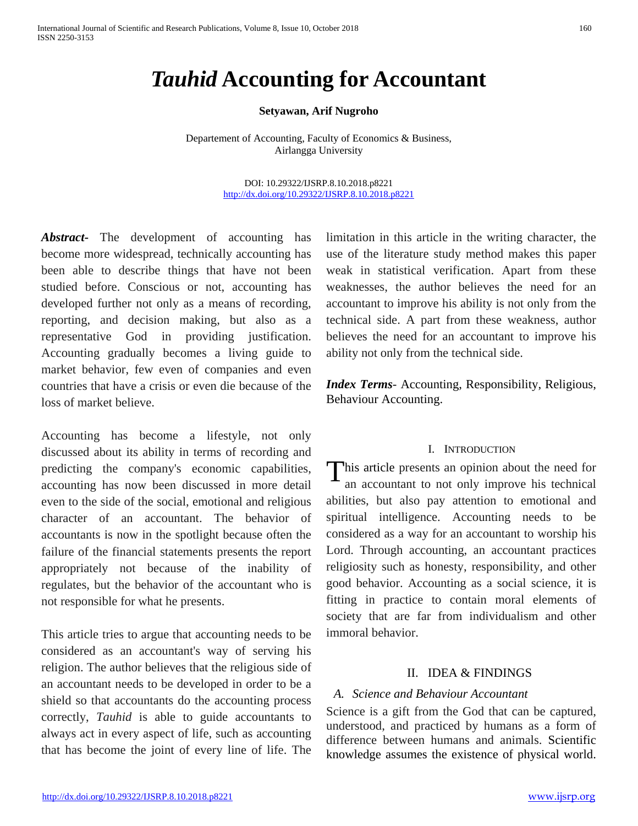# *Tauhid* **Accounting for Accountant**

#### **Setyawan, Arif Nugroho**

Departement of Accounting, Faculty of Economics & Business, Airlangga University

> DOI: 10.29322/IJSRP.8.10.2018.p8221 <http://dx.doi.org/10.29322/IJSRP.8.10.2018.p8221>

*Abstract***-** The development of accounting has become more widespread, technically accounting has been able to describe things that have not been studied before. Conscious or not, accounting has developed further not only as a means of recording, reporting, and decision making, but also as a representative God in providing justification. Accounting gradually becomes a living guide to market behavior, few even of companies and even countries that have a crisis or even die because of the loss of market believe.

Accounting has become a lifestyle, not only discussed about its ability in terms of recording and predicting the company's economic capabilities, accounting has now been discussed in more detail even to the side of the social, emotional and religious character of an accountant. The behavior of accountants is now in the spotlight because often the failure of the financial statements presents the report appropriately not because of the inability of regulates, but the behavior of the accountant who is not responsible for what he presents.

This article tries to argue that accounting needs to be considered as an accountant's way of serving his religion. The author believes that the religious side of an accountant needs to be developed in order to be a shield so that accountants do the accounting process correctly, *Tauhid* is able to guide accountants to always act in every aspect of life, such as accounting that has become the joint of every line of life. The limitation in this article in the writing character, the use of the literature study method makes this paper weak in statistical verification. Apart from these weaknesses, the author believes the need for an accountant to improve his ability is not only from the technical side. A part from these weakness, author believes the need for an accountant to improve his ability not only from the technical side.

*Index Terms*- Accounting, Responsibility, Religious, Behaviour Accounting.

#### I. INTRODUCTION

This article presents an opinion about the need for<br>an accountant to not only improve his technical an accountant to not only improve his technical abilities, but also pay attention to emotional and spiritual intelligence. Accounting needs to be considered as a way for an accountant to worship his Lord. Through accounting, an accountant practices religiosity such as honesty, responsibility, and other good behavior. Accounting as a social science, it is fitting in practice to contain moral elements of society that are far from individualism and other immoral behavior.

## II. IDEA & FINDINGS

## *A. Science and Behaviour Accountant*

Science is a gift from the God that can be captured, understood, and practiced by humans as a form of difference between humans and animals. Scientific knowledge assumes the existence of physical world.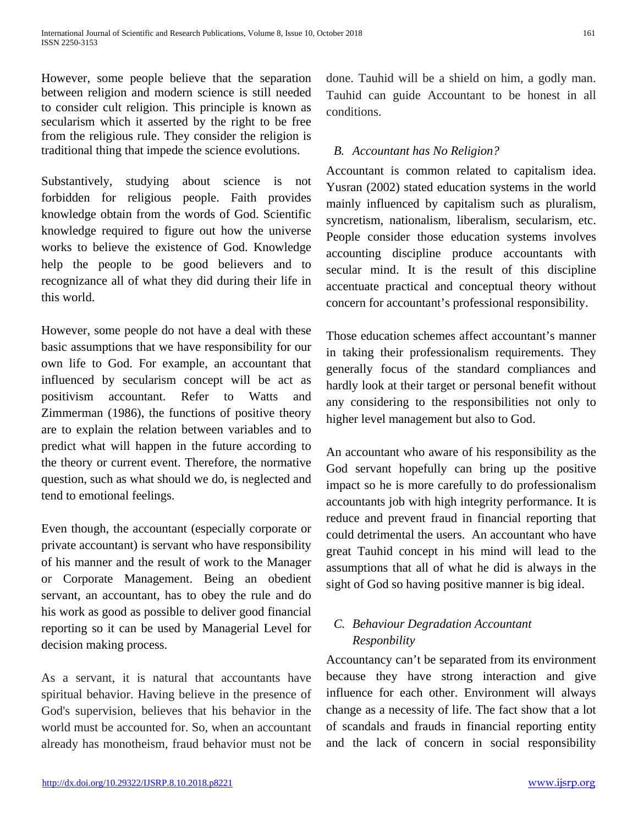However, some people believe that the separation between religion and modern science is still needed to consider cult religion. This principle is known as secularism which it asserted by the right to be free from the religious rule. They consider the religion is traditional thing that impede the science evolutions.

Substantively, studying about science is not forbidden for religious people. Faith provides knowledge obtain from the words of God. Scientific knowledge required to figure out how the universe works to believe the existence of God. Knowledge help the people to be good believers and to recognizance all of what they did during their life in this world.

However, some people do not have a deal with these basic assumptions that we have responsibility for our own life to God. For example, an accountant that influenced by secularism concept will be act as positivism accountant. Refer to Watts and Zimmerman (1986), the functions of positive theory are to explain the relation between variables and to predict what will happen in the future according to the theory or current event. Therefore, the normative question, such as what should we do, is neglected and tend to emotional feelings.

Even though, the accountant (especially corporate or private accountant) is servant who have responsibility of his manner and the result of work to the Manager or Corporate Management. Being an obedient servant, an accountant, has to obey the rule and do his work as good as possible to deliver good financial reporting so it can be used by Managerial Level for decision making process.

As a servant, it is natural that accountants have spiritual behavior. Having believe in the presence of God's supervision, believes that his behavior in the world must be accounted for. So, when an accountant already has monotheism, fraud behavior must not be done. Tauhid will be a shield on him, a godly man. Tauhid can guide Accountant to be honest in all conditions.

## *B. Accountant has No Religion?*

Accountant is common related to capitalism idea. Yusran (2002) stated education systems in the world mainly influenced by capitalism such as pluralism, syncretism, nationalism, liberalism, secularism, etc. People consider those education systems involves accounting discipline produce accountants with secular mind. It is the result of this discipline accentuate practical and conceptual theory without concern for accountant's professional responsibility.

Those education schemes affect accountant's manner in taking their professionalism requirements. They generally focus of the standard compliances and hardly look at their target or personal benefit without any considering to the responsibilities not only to higher level management but also to God.

An accountant who aware of his responsibility as the God servant hopefully can bring up the positive impact so he is more carefully to do professionalism accountants job with high integrity performance. It is reduce and prevent fraud in financial reporting that could detrimental the users. An accountant who have great Tauhid concept in his mind will lead to the assumptions that all of what he did is always in the sight of God so having positive manner is big ideal.

## *C. Behaviour Degradation Accountant Responbility*

Accountancy can't be separated from its environment because they have strong interaction and give influence for each other. Environment will always change as a necessity of life. The fact show that a lot of scandals and frauds in financial reporting entity and the lack of concern in social responsibility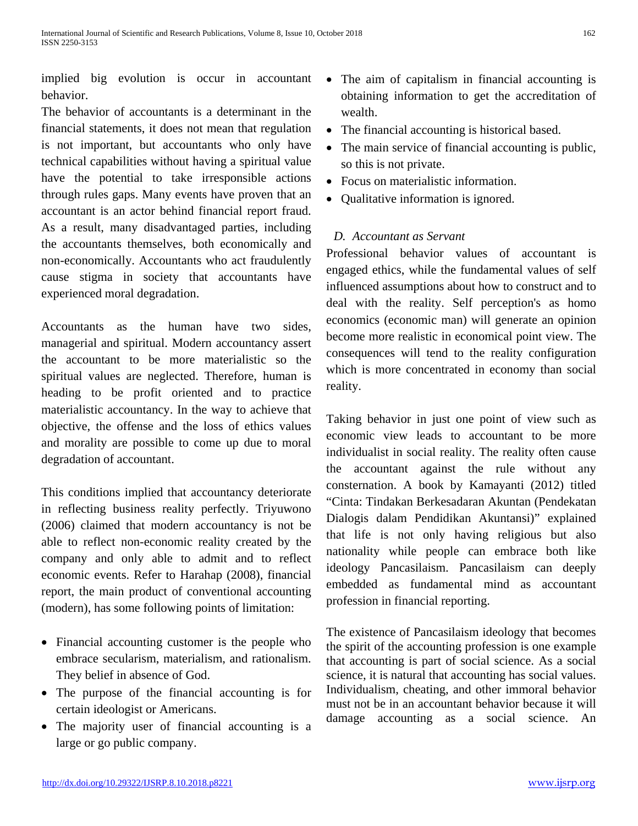implied big evolution is occur in accountant behavior.

The behavior of accountants is a determinant in the financial statements, it does not mean that regulation is not important, but accountants who only have technical capabilities without having a spiritual value have the potential to take irresponsible actions through rules gaps. Many events have proven that an accountant is an actor behind financial report fraud. As a result, many disadvantaged parties, including the accountants themselves, both economically and non-economically. Accountants who act fraudulently cause stigma in society that accountants have experienced moral degradation.

Accountants as the human have two sides, managerial and spiritual. Modern accountancy assert the accountant to be more materialistic so the spiritual values are neglected. Therefore, human is heading to be profit oriented and to practice materialistic accountancy. In the way to achieve that objective, the offense and the loss of ethics values and morality are possible to come up due to moral degradation of accountant.

This conditions implied that accountancy deteriorate in reflecting business reality perfectly. Triyuwono (2006) claimed that modern accountancy is not be able to reflect non-economic reality created by the company and only able to admit and to reflect economic events. Refer to Harahap (2008), financial report, the main product of conventional accounting (modern), has some following points of limitation:

- Financial accounting customer is the people who embrace secularism, materialism, and rationalism. They belief in absence of God.
- The purpose of the financial accounting is for certain ideologist or Americans.
- The majority user of financial accounting is a large or go public company.
- The aim of capitalism in financial accounting is obtaining information to get the accreditation of wealth.
- The financial accounting is historical based.
- The main service of financial accounting is public, so this is not private.
- Focus on materialistic information.
- Oualitative information is ignored.

## *D. Accountant as Servant*

Professional behavior values of accountant is engaged ethics, while the fundamental values of self influenced assumptions about how to construct and to deal with the reality. Self perception's as homo economics (economic man) will generate an opinion become more realistic in economical point view. The consequences will tend to the reality configuration which is more concentrated in economy than social reality.

Taking behavior in just one point of view such as economic view leads to accountant to be more individualist in social reality. The reality often cause the accountant against the rule without any consternation. A book by Kamayanti (2012) titled "Cinta: Tindakan Berkesadaran Akuntan (Pendekatan Dialogis dalam Pendidikan Akuntansi)" explained that life is not only having religious but also nationality while people can embrace both like ideology Pancasilaism. Pancasilaism can deeply embedded as fundamental mind as accountant profession in financial reporting.

The existence of Pancasilaism ideology that becomes the spirit of the accounting profession is one example that accounting is part of social science. As a social science, it is natural that accounting has social values. Individualism, cheating, and other immoral behavior must not be in an accountant behavior because it will damage accounting as a social science. An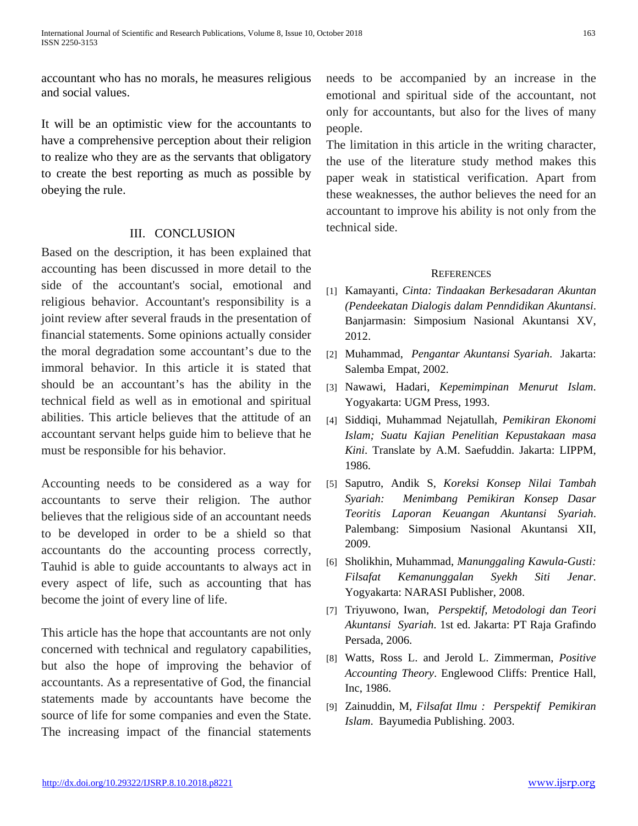accountant who has no morals, he measures religious and social values.

It will be an optimistic view for the accountants to have a comprehensive perception about their religion to realize who they are as the servants that obligatory to create the best reporting as much as possible by obeying the rule.

## III. CONCLUSION

Based on the description, it has been explained that accounting has been discussed in more detail to the side of the accountant's social, emotional and religious behavior. Accountant's responsibility is a joint review after several frauds in the presentation of financial statements. Some opinions actually consider the moral degradation some accountant's due to the immoral behavior. In this article it is stated that should be an accountant's has the ability in the technical field as well as in emotional and spiritual abilities. This article believes that the attitude of an accountant servant helps guide him to believe that he must be responsible for his behavior.

Accounting needs to be considered as a way for accountants to serve their religion. The author believes that the religious side of an accountant needs to be developed in order to be a shield so that accountants do the accounting process correctly, Tauhid is able to guide accountants to always act in every aspect of life, such as accounting that has become the joint of every line of life.

This article has the hope that accountants are not only concerned with technical and regulatory capabilities, but also the hope of improving the behavior of accountants. As a representative of God, the financial statements made by accountants have become the source of life for some companies and even the State. The increasing impact of the financial statements needs to be accompanied by an increase in the emotional and spiritual side of the accountant, not only for accountants, but also for the lives of many people.

The limitation in this article in the writing character, the use of the literature study method makes this paper weak in statistical verification. Apart from these weaknesses, the author believes the need for an accountant to improve his ability is not only from the technical side.

## **REFERENCES**

- [1] Kamayanti, *Cinta: Tindaakan Berkesadaran Akuntan (Pendeekatan Dialogis dalam Penndidikan Akuntansi*. Banjarmasin: Simposium Nasional Akuntansi XV, 2012.
- [2] Muhammad, *Pengantar Akuntansi Syariah*. Jakarta: Salemba Empat, 2002.
- [3] Nawawi, Hadari, *Kepemimpinan Menurut Islam*. Yogyakarta: UGM Press, 1993.
- [4] Siddiqi, Muhammad Nejatullah, *Pemikiran Ekonomi Islam; Suatu Kajian Penelitian Kepustakaan masa Kini*. Translate by A.M. Saefuddin. Jakarta: LIPPM, 1986.
- [5] Saputro, Andik S, *Koreksi Konsep Nilai Tambah Syariah: Menimbang Pemikiran Konsep Dasar Teoritis Laporan Keuangan Akuntansi Syariah*. Palembang: Simposium Nasional Akuntansi XII, 2009.
- [6] Sholikhin, Muhammad, *Manunggaling Kawula-Gusti: Filsafat Kemanunggalan Syekh Siti Jenar*. Yogyakarta: NARASI Publisher, 2008.
- [7] Triyuwono, Iwan, *Perspektif, Metodologi dan Teori Akuntansi Syariah*. 1st ed. Jakarta: PT Raja Grafindo Persada, 2006.
- [8] Watts, Ross L. and Jerold L. Zimmerman, *Positive Accounting Theory*. Englewood Cliffs: Prentice Hall, Inc, 1986.
- [9] Zainuddin, M, *Filsafat Ilmu : Perspektif Pemikiran Islam*. Bayumedia Publishing. 2003.